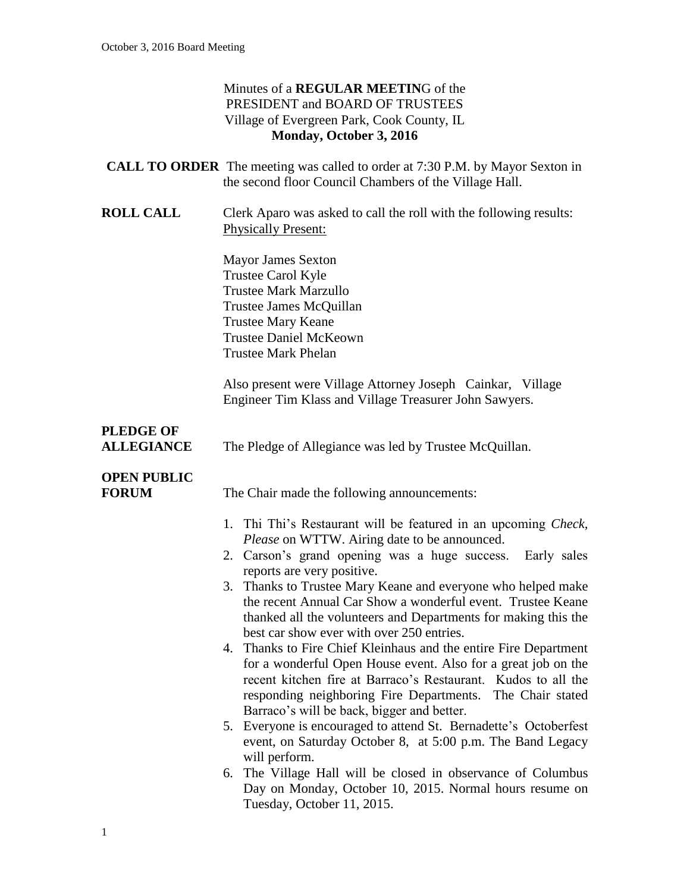| Minutes of a REGULAR MEETING of the        |
|--------------------------------------------|
| PRESIDENT and BOARD OF TRUSTEES            |
| Village of Evergreen Park, Cook County, IL |
| Monday, October 3, 2016                    |

|                                       | <b>CALL TO ORDER</b> The meeting was called to order at 7:30 P.M. by Mayor Sexton in                                                                                                                                                                                                                                                                                                                                                                                                                                                                                                                                                                                                                                                                                                                                                                                                                                                                                                                      |
|---------------------------------------|-----------------------------------------------------------------------------------------------------------------------------------------------------------------------------------------------------------------------------------------------------------------------------------------------------------------------------------------------------------------------------------------------------------------------------------------------------------------------------------------------------------------------------------------------------------------------------------------------------------------------------------------------------------------------------------------------------------------------------------------------------------------------------------------------------------------------------------------------------------------------------------------------------------------------------------------------------------------------------------------------------------|
|                                       | the second floor Council Chambers of the Village Hall.                                                                                                                                                                                                                                                                                                                                                                                                                                                                                                                                                                                                                                                                                                                                                                                                                                                                                                                                                    |
| <b>ROLL CALL</b>                      | Clerk Aparo was asked to call the roll with the following results:<br><b>Physically Present:</b>                                                                                                                                                                                                                                                                                                                                                                                                                                                                                                                                                                                                                                                                                                                                                                                                                                                                                                          |
|                                       | <b>Mayor James Sexton</b><br>Trustee Carol Kyle<br><b>Trustee Mark Marzullo</b><br>Trustee James McQuillan<br><b>Trustee Mary Keane</b><br><b>Trustee Daniel McKeown</b><br><b>Trustee Mark Phelan</b>                                                                                                                                                                                                                                                                                                                                                                                                                                                                                                                                                                                                                                                                                                                                                                                                    |
|                                       | Also present were Village Attorney Joseph Cainkar, Village<br>Engineer Tim Klass and Village Treasurer John Sawyers.                                                                                                                                                                                                                                                                                                                                                                                                                                                                                                                                                                                                                                                                                                                                                                                                                                                                                      |
| <b>PLEDGE OF</b><br><b>ALLEGIANCE</b> | The Pledge of Allegiance was led by Trustee McQuillan.                                                                                                                                                                                                                                                                                                                                                                                                                                                                                                                                                                                                                                                                                                                                                                                                                                                                                                                                                    |
| <b>OPEN PUBLIC</b><br><b>FORUM</b>    | The Chair made the following announcements:                                                                                                                                                                                                                                                                                                                                                                                                                                                                                                                                                                                                                                                                                                                                                                                                                                                                                                                                                               |
|                                       | 1. Thi Thi's Restaurant will be featured in an upcoming <i>Check</i> ,<br>Please on WTTW. Airing date to be announced.<br>2. Carson's grand opening was a huge success.<br>Early sales<br>reports are very positive.<br>3. Thanks to Trustee Mary Keane and everyone who helped make<br>the recent Annual Car Show a wonderful event. Trustee Keane<br>thanked all the volunteers and Departments for making this the<br>best car show ever with over 250 entries.<br>4. Thanks to Fire Chief Kleinhaus and the entire Fire Department<br>for a wonderful Open House event. Also for a great job on the<br>recent kitchen fire at Barraco's Restaurant. Kudos to all the<br>responding neighboring Fire Departments.<br>The Chair stated<br>Barraco's will be back, bigger and better.<br>5. Everyone is encouraged to attend St. Bernadette's Octoberfest<br>event, on Saturday October 8, at 5:00 p.m. The Band Legacy<br>will perform.<br>6. The Village Hall will be closed in observance of Columbus |
|                                       | Day on Monday, October 10, 2015. Normal hours resume on<br>Tuesday, October 11, 2015.                                                                                                                                                                                                                                                                                                                                                                                                                                                                                                                                                                                                                                                                                                                                                                                                                                                                                                                     |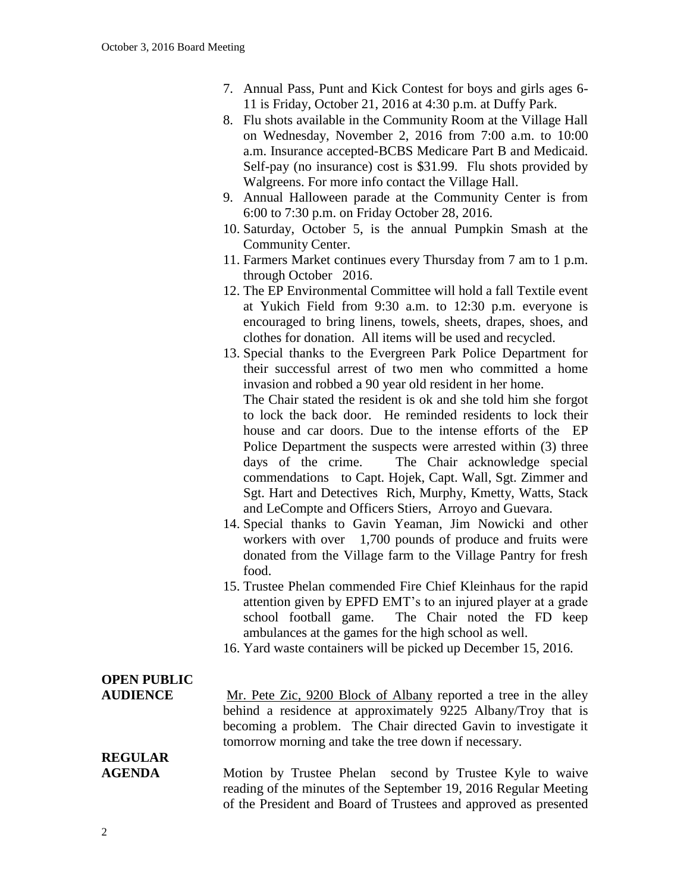- 7. Annual Pass, Punt and Kick Contest for boys and girls ages 6- 11 is Friday, October 21, 2016 at 4:30 p.m. at Duffy Park.
- 8. Flu shots available in the Community Room at the Village Hall on Wednesday, November 2, 2016 from 7:00 a.m. to 10:00 a.m. Insurance accepted-BCBS Medicare Part B and Medicaid. Self-pay (no insurance) cost is \$31.99. Flu shots provided by Walgreens. For more info contact the Village Hall.
- 9. Annual Halloween parade at the Community Center is from 6:00 to 7:30 p.m. on Friday October 28, 2016.
- 10. Saturday, October 5, is the annual Pumpkin Smash at the Community Center.
- 11. Farmers Market continues every Thursday from 7 am to 1 p.m. through October 2016.
- 12. The EP Environmental Committee will hold a fall Textile event at Yukich Field from 9:30 a.m. to 12:30 p.m. everyone is encouraged to bring linens, towels, sheets, drapes, shoes, and clothes for donation. All items will be used and recycled.

13. Special thanks to the Evergreen Park Police Department for their successful arrest of two men who committed a home invasion and robbed a 90 year old resident in her home. The Chair stated the resident is ok and she told him she forgot to lock the back door. He reminded residents to lock their house and car doors. Due to the intense efforts of the EP Police Department the suspects were arrested within (3) three days of the crime. The Chair acknowledge special commendations to Capt. Hojek, Capt. Wall, Sgt. Zimmer and Sgt. Hart and Detectives Rich, Murphy, Kmetty, Watts, Stack and LeCompte and Officers Stiers, Arroyo and Guevara.

- 14. Special thanks to Gavin Yeaman, Jim Nowicki and other workers with over 1,700 pounds of produce and fruits were donated from the Village farm to the Village Pantry for fresh food.
- 15. Trustee Phelan commended Fire Chief Kleinhaus for the rapid attention given by EPFD EMT's to an injured player at a grade school football game. The Chair noted the FD keep ambulances at the games for the high school as well.
- 16. Yard waste containers will be picked up December 15, 2016.

# **OPEN PUBLIC**

**AUDIENCE** Mr. Pete Zic, 9200 Block of Albany reported a tree in the alley behind a residence at approximately 9225 Albany/Troy that is becoming a problem. The Chair directed Gavin to investigate it tomorrow morning and take the tree down if necessary.

## **REGULAR**

**AGENDA** Motion by Trustee Phelan second by Trustee Kyle to waive reading of the minutes of the September 19, 2016 Regular Meeting of the President and Board of Trustees and approved as presented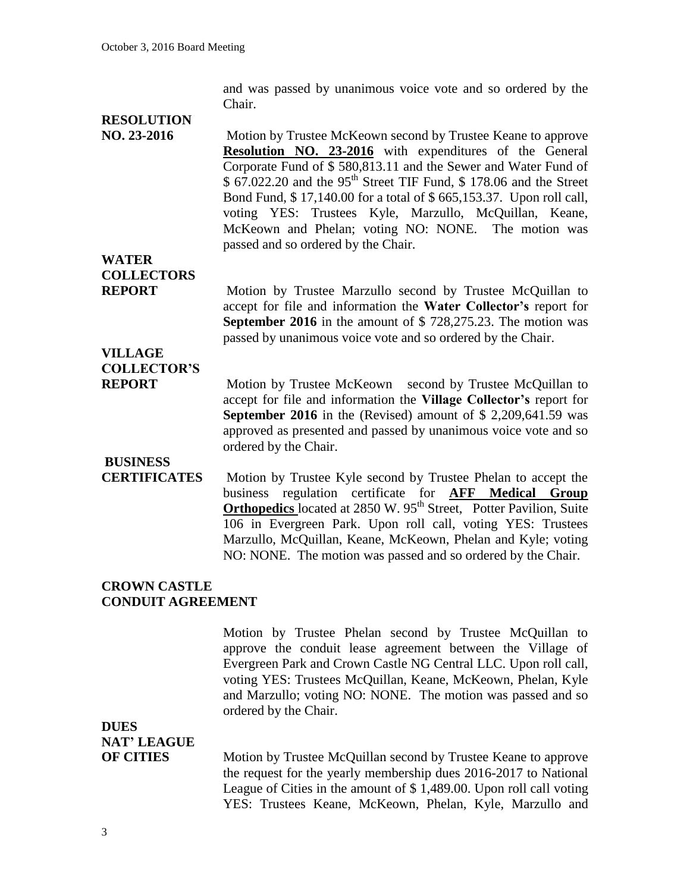and was passed by unanimous voice vote and so ordered by the Chair.

### **RESOLUTION**

**NO. 23-2016** Motion by Trustee McKeown second by Trustee Keane to approve **Resolution NO. 23-2016** with expenditures of the General Corporate Fund of \$ 580,813.11 and the Sewer and Water Fund of  $$ 67.022.20$  and the 95<sup>th</sup> Street TIF Fund, \$ 178.06 and the Street Bond Fund, \$ 17,140.00 for a total of \$ 665,153.37. Upon roll call, voting YES: Trustees Kyle, Marzullo, McQuillan, Keane, McKeown and Phelan; voting NO: NONE. The motion was passed and so ordered by the Chair.

**WATER COLLECTORS**

**REPORT** Motion by Trustee Marzullo second by Trustee McQuillan to accept for file and information the **Water Collector's** report for **September 2016** in the amount of \$ 728,275.23. The motion was passed by unanimous voice vote and so ordered by the Chair.

### **VILLAGE COLLECTOR'S**

**REPORT** Motion by Trustee McKeown second by Trustee McQuillan to accept for file and information the **Village Collector's** report for **September 2016** in the (Revised) amount of \$ 2,209,641.59 was approved as presented and passed by unanimous voice vote and so ordered by the Chair.

#### **BUSINESS**

**CERTIFICATES** Motion by Trustee Kyle second by Trustee Phelan to accept the business regulation certificate for **AFF Medical Group Orthopedics** located at 2850 W. 95<sup>th</sup> Street, Potter Pavilion, Suite 106 in Evergreen Park. Upon roll call, voting YES: Trustees Marzullo, McQuillan, Keane, McKeown, Phelan and Kyle; voting NO: NONE. The motion was passed and so ordered by the Chair.

#### **CROWN CASTLE CONDUIT AGREEMENT**

Motion by Trustee Phelan second by Trustee McQuillan to approve the conduit lease agreement between the Village of Evergreen Park and Crown Castle NG Central LLC. Upon roll call, voting YES: Trustees McQuillan, Keane, McKeown, Phelan, Kyle and Marzullo; voting NO: NONE. The motion was passed and so ordered by the Chair.

### **DUES**

### **NAT' LEAGUE**

**OF CITIES** Motion by Trustee McQuillan second by Trustee Keane to approve the request for the yearly membership dues 2016-2017 to National League of Cities in the amount of \$ 1,489.00. Upon roll call voting YES: Trustees Keane, McKeown, Phelan, Kyle, Marzullo and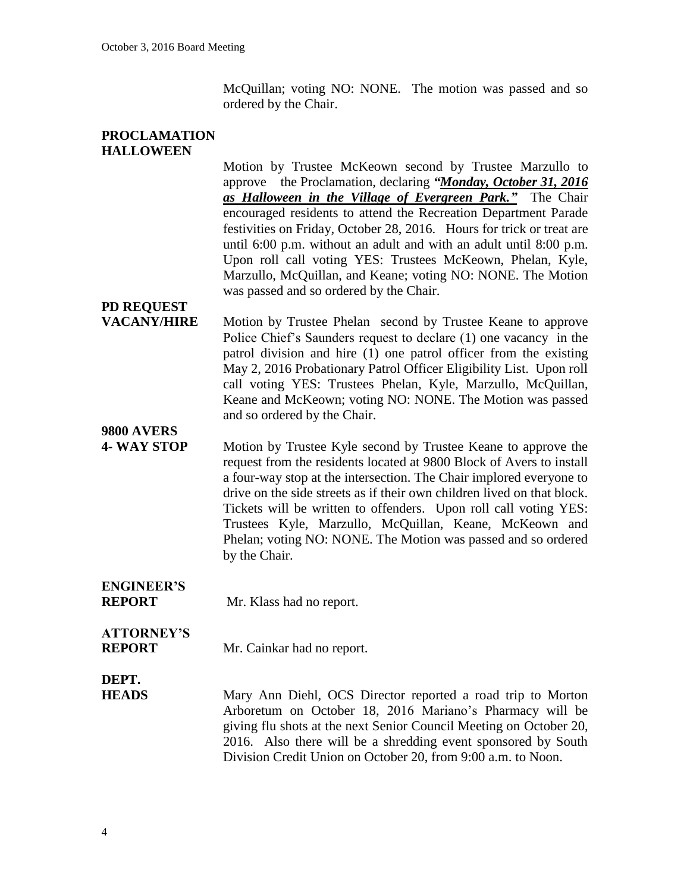McQuillan; voting NO: NONE. The motion was passed and so ordered by the Chair.

#### **PROCLAMATION HALLOWEEN**

Motion by Trustee McKeown second by Trustee Marzullo to approve the Proclamation, declaring *"Monday, October 31, 2016 as Halloween in the Village of Evergreen Park."* The Chair encouraged residents to attend the Recreation Department Parade festivities on Friday, October 28, 2016. Hours for trick or treat are until 6:00 p.m. without an adult and with an adult until 8:00 p.m. Upon roll call voting YES: Trustees McKeown, Phelan, Kyle, Marzullo, McQuillan, and Keane; voting NO: NONE. The Motion was passed and so ordered by the Chair.

## **PD REQUEST**

**VACANY/HIRE** Motion by Trustee Phelan second by Trustee Keane to approve Police Chief's Saunders request to declare (1) one vacancy in the patrol division and hire (1) one patrol officer from the existing May 2, 2016 Probationary Patrol Officer Eligibility List. Upon roll call voting YES: Trustees Phelan, Kyle, Marzullo, McQuillan, Keane and McKeown; voting NO: NONE. The Motion was passed and so ordered by the Chair.

#### **9800 AVERS**

**4- WAY STOP** Motion by Trustee Kyle second by Trustee Keane to approve the request from the residents located at 9800 Block of Avers to install a four-way stop at the intersection. The Chair implored everyone to drive on the side streets as if their own children lived on that block. Tickets will be written to offenders. Upon roll call voting YES: Trustees Kyle, Marzullo, McQuillan, Keane, McKeown and Phelan; voting NO: NONE. The Motion was passed and so ordered by the Chair.

# **ENGINEER'S**

**REPORT** Mr. Klass had no report.

# **ATTORNEY'S**

**REPORT** Mr. Cainkar had no report.

#### **DEPT.**

**HEADS** Mary Ann Diehl, OCS Director reported a road trip to Morton Arboretum on October 18, 2016 Mariano's Pharmacy will be giving flu shots at the next Senior Council Meeting on October 20, 2016. Also there will be a shredding event sponsored by South Division Credit Union on October 20, from 9:00 a.m. to Noon.